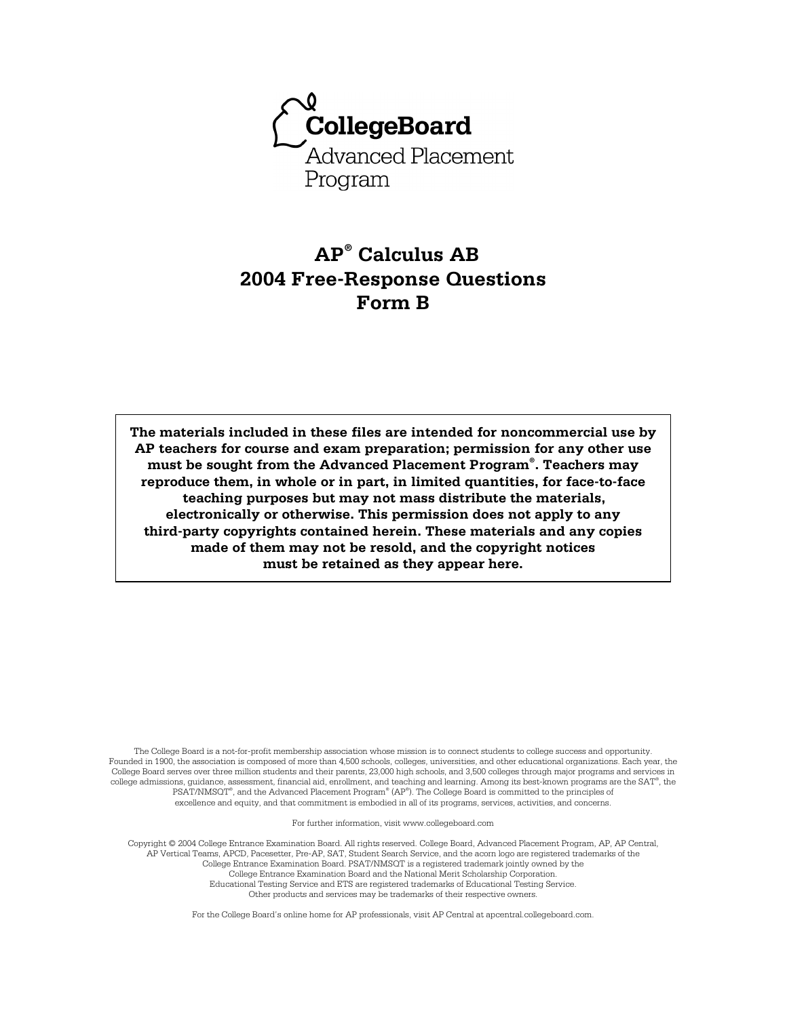

# **AP® Calculus AB 2004 Free-Response Questions Form B**

**The materials included in these files are intended for noncommercial use by AP teachers for course and exam preparation; permission for any other use must be sought from the Advanced Placement Program® . Teachers may reproduce them, in whole or in part, in limited quantities, for face-to-face teaching purposes but may not mass distribute the materials, electronically or otherwise. This permission does not apply to any third-party copyrights contained herein. These materials and any copies made of them may not be resold, and the copyright notices must be retained as they appear here.** 

The College Board is a not-for-profit membership association whose mission is to connect students to college success and opportunity. Founded in 1900, the association is composed of more than 4,500 schools, colleges, universities, and other educational organizations. Each year, the College Board serves over three million students and their parents, 23,000 high schools, and 3,500 colleges through major programs and services in college admissions, guidance, assessment, financial aid, enrollment, and teaching and learning. Among its best-known programs are the SAT®, the PSAT/NMSQT® , and the Advanced Placement Program® (AP® ). The College Board is committed to the principles of excellence and equity, and that commitment is embodied in all of its programs, services, activities, and concerns.

For further information, visit www.collegeboard.com

Copyright © 2004 College Entrance Examination Board. All rights reserved. College Board, Advanced Placement Program, AP, AP Central, AP Vertical Teams, APCD, Pacesetter, Pre-AP, SAT, Student Search Service, and the acorn logo are registered trademarks of the College Entrance Examination Board. PSAT/NMSQT is a registered trademark jointly owned by the College Entrance Examination Board and the National Merit Scholarship Corporation. Educational Testing Service and ETS are registered trademarks of Educational Testing Service. Other products and services may be trademarks of their respective owners.

For the College Board's online home for AP professionals, visit AP Central at apcentral.collegeboard.com.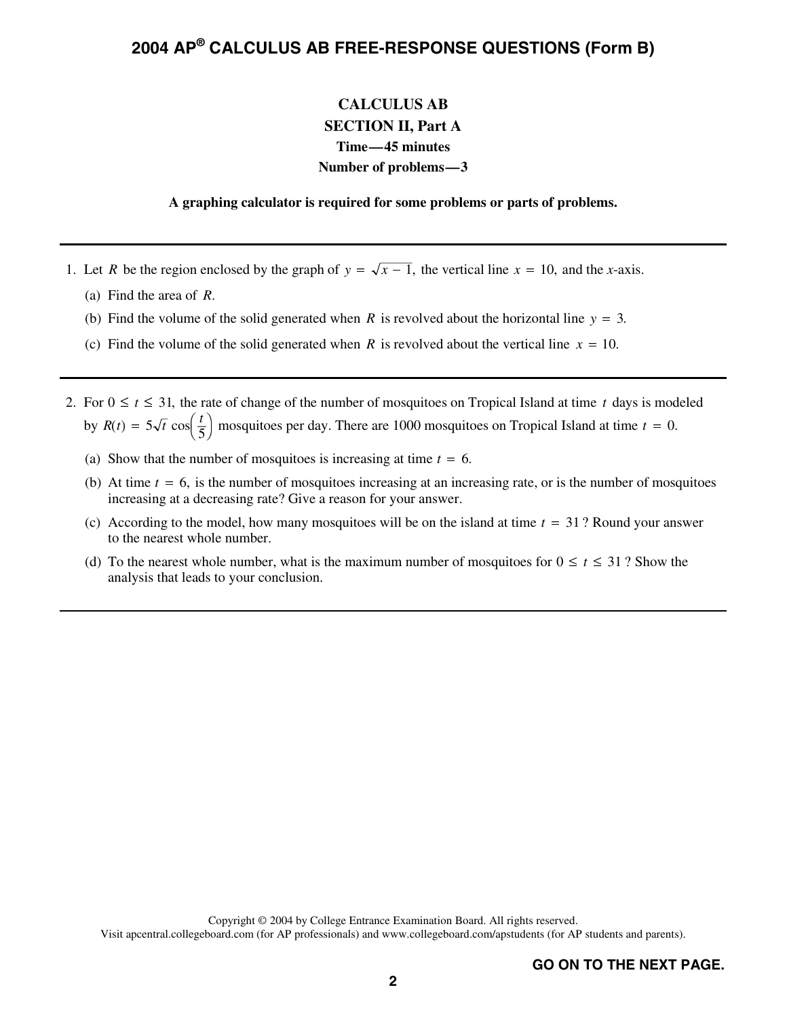### **CALCULUS AB SECTION II, Part A Time—45 minutes Number of problems—3**

#### **A graphing calculator is required for some problems or parts of problems.**

- 1. Let *R* be the region enclosed by the graph of  $y = \sqrt{x-1}$ , the vertical line  $x = 10$ , and the *x*-axis.<br>(a) Find the area of *R* 
	- (a) Find the area of *R*.
	- (b) Find the volume of the solid generated when *R* is revolved about the horizontal line *y* = 3.<br>(c) Find the volume of the solid generated when *R* is revolved about the vertical line *x* = 10.
	- (c) Find the volume of the solid generated when *R* is revolved about the vertical line  $x = 10$ .
- 2. For  $0 \le t \le 31$ , the rate of change of the number of mosquitoes on Tropical Island at time t days is modeled by  $R(t) = 5\sqrt{t} \cos\left(\frac{t}{5}\right)$  mosquitoes per day. There are 1000 mosquitoes on Tropical Island at time  $t = 0$ .<br>(c) Show that the number of mosquitoes is increasing at time *t*. *6* 
	- (a) Show that the number of mosquitoes is increasing at time  $t = 6$ .<br>(b) At time  $t = 6$  is the number of mosquitoes increasing at an increasing
	- (b) At time  $t = 6$ , is the number of mosquitoes increasing at an increasing rate, or is the number of mosquitoes increasing at a decreasing rate? Give a reason for your answer. increasing at a decreasing rate? Give a reason for your answer.
	- (c) According to the model, how many mosquitoes will be on the island at time  $t = 31$ ? Round your answer to the nearest whole number. to the nearest whole number.
	- (d) To the nearest whole number, what is the maximum number of mosquitoes for  $0 \le t \le 31$ ? Show the analysis that leads to your conclusion.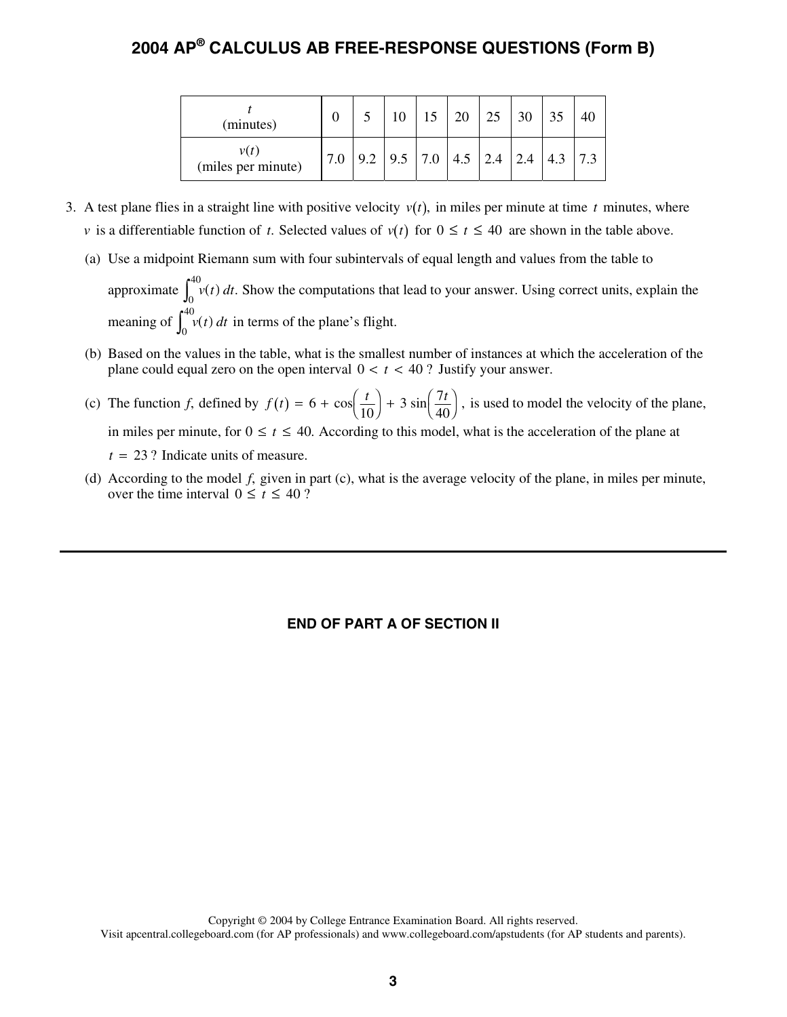| (minutes)                  |  |                                                                         | 15 |  |  |  |
|----------------------------|--|-------------------------------------------------------------------------|----|--|--|--|
| v(t)<br>(miles per minute) |  | $\vert 9.2 \vert 9.5 \vert 7.0 \vert 4.5 \vert 2.4 \vert 2.4 \vert 4.3$ |    |  |  |  |

- 3. A test plane flies in a straight line with positive velocity  $v(t)$ , in miles per minute at time t minutes, where *v* is a differentiable function of *t*. Selected values of  $v(t)$  for  $0 \le t \le 40$  are shown in the table above.
	- (a) Use a midpoint Riemann sum with four subintervals of equal length and values from the table to approximate  $\int_0^1 v(t) dt$ <br>meaning of  $\int_0^{40} v(t) dt$  $^{40}_{\alpha}$  v(t) dt. Show the computations that lead to your answer. Using correct units, explain the
	- meaning of  $\int_0^{40} v(t) dt$  in terms of the plane's flight.<br>Based on the values in the table, what is the smalles (b) Based on the values in the table, what is the smallest number of instances at which the acceleration of the plane could equal zero on the open interval  $0 < t < 40$ ? Justify your answer.
	- (c) The function *f*, defined by  $f(t) = 6 + \cos\left(\frac{t}{10}\right) + 3\sin\left(\frac{7t}{40}\right)$ , is used to model the velocity of the plane, in miles per minute, for  $0 \le t \le 40$ . According to this model, what is the acceleration of the plane in miles per minute, for  $0 \le t \le 40$ . According to this model, what is the acceleration of the plane at  $t = 23$  ? Indicate units of measure.<br>According to the model  $f$  given in
	- (d) According to the model *f*, given in part (c), what is the average velocity of the plane, in miles per minute, over the time interval  $0 \le t \le 40$ ?

### **END OF PART A OF SECTION II**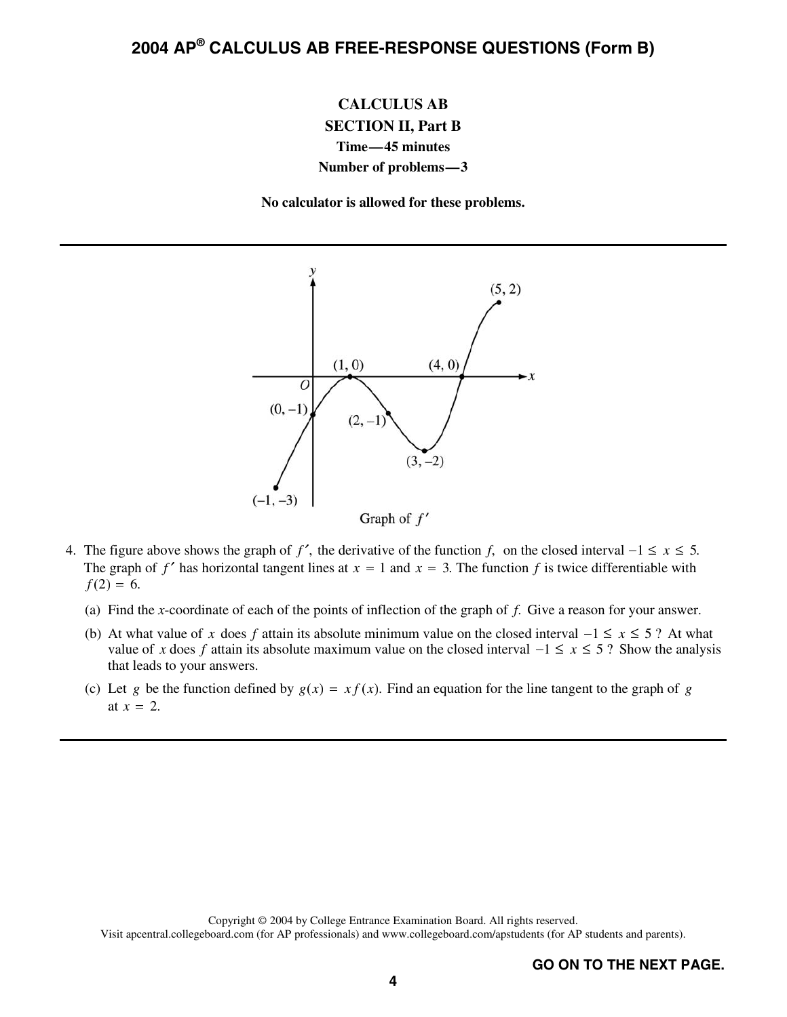### **CALCULUS AB SECTION II, Part B Time—45 minutes Number of problems—3**

**No calculator is allowed for these problems.** 



- 4. The figure above shows the graph of *f'*, the derivative of the function *f*, on the closed interval  $-1 \le x \le 5$ . The graph of  $f'$  has horizontal tangent lines at  $x = 1$  and  $x = 3$ . The function  $f$  is twice differentiable with  $f(2) = 6.$ 
	- (a) Find the *x*-coordinate of each of the points of inflection of the graph of *f*. Give a reason for your answer.
	- (b) At what value of *x* does *f* attain its absolute minimum value on the closed interval  $-1 \le x \le 5$ ? At what value of x does f attain its absolute maximum value on the closed interval  $-1 \le x \le 5$ ? Show the analysis that leads to your answers.
	- (c) Let *g* be the function defined by  $g(x) = x f(x)$ . Find an equation for the line tangent to the graph of *g* at  $x = 2$ .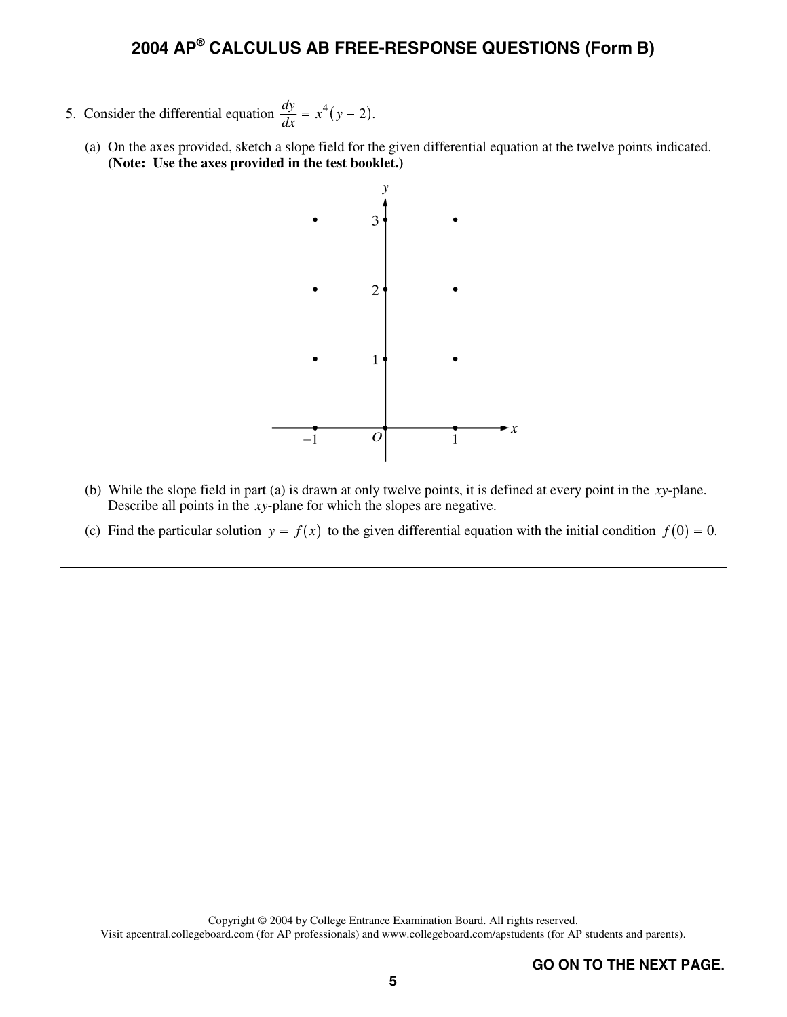- 5. Consider the differential equation  $\frac{dy}{dx} = x^4 (y 2)$ .
	- (a) On the axes provided, sketch a slope field for the given differential equation at the twelve points indicated. **(Note: Use the axes provided in the test booklet.)**



- (b) While the slope field in part (a) is drawn at only twelve points, it is defined at every point in the *xy*-plane. Describe all points in the *xy*-plane for which the slopes are negative.
- (c) Find the particular solution  $y = f(x)$  to the given differential equation with the initial condition  $f(0) = 0$ .